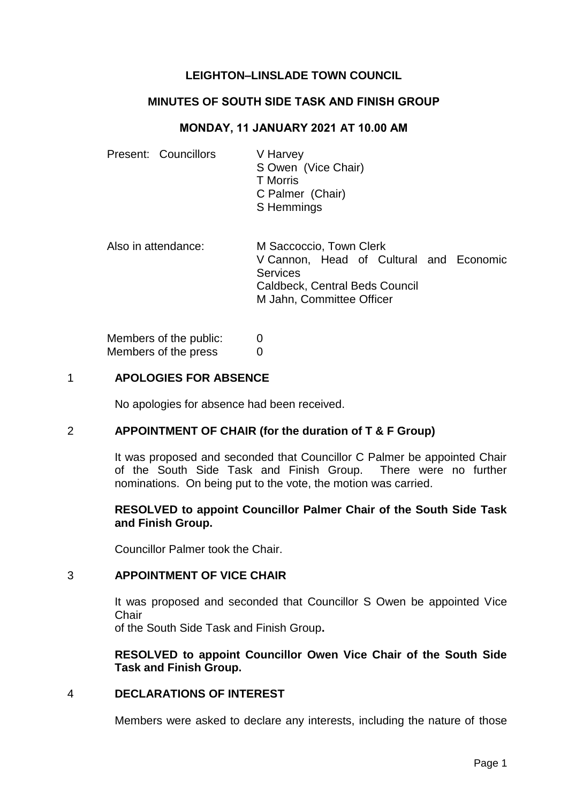# **LEIGHTON–LINSLADE TOWN COUNCIL**

# **MINUTES OF SOUTH SIDE TASK AND FINISH GROUP**

## **MONDAY, 11 JANUARY 2021 AT 10.00 AM**

| Present: Councillors   | V Harvey<br>S Owen (Vice Chair)<br><b>T</b> Morris<br>C Palmer (Chair)<br>S Hemmings                                                                 |
|------------------------|------------------------------------------------------------------------------------------------------------------------------------------------------|
| Also in attendance:    | M Saccoccio, Town Clerk<br>V Cannon, Head of Cultural and Economic<br>Services<br><b>Caldbeck, Central Beds Council</b><br>M Jahn, Committee Officer |
| Members of the public: |                                                                                                                                                      |

# 1 **APOLOGIES FOR ABSENCE**

Members of the press 0

No apologies for absence had been received.

#### 2 **APPOINTMENT OF CHAIR (for the duration of T & F Group)**

It was proposed and seconded that Councillor C Palmer be appointed Chair of the South Side Task and Finish Group. There were no further nominations. On being put to the vote, the motion was carried.

# **RESOLVED to appoint Councillor Palmer Chair of the South Side Task and Finish Group.**

Councillor Palmer took the Chair.

#### 3 **APPOINTMENT OF VICE CHAIR**

It was proposed and seconded that Councillor S Owen be appointed Vice **Chair** 

of the South Side Task and Finish Group**.**

# **RESOLVED to appoint Councillor Owen Vice Chair of the South Side Task and Finish Group.**

#### 4 **DECLARATIONS OF INTEREST**

Members were asked to declare any interests, including the nature of those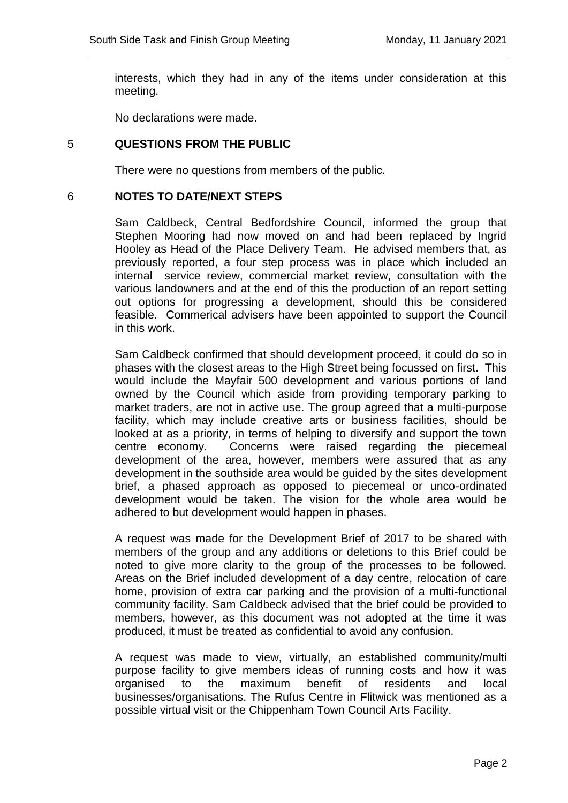interests, which they had in any of the items under consideration at this meeting.

No declarations were made.

# 5 **QUESTIONS FROM THE PUBLIC**

There were no questions from members of the public.

## 6 **NOTES TO DATE/NEXT STEPS**

Sam Caldbeck, Central Bedfordshire Council, informed the group that Stephen Mooring had now moved on and had been replaced by Ingrid Hooley as Head of the Place Delivery Team. He advised members that, as previously reported, a four step process was in place which included an internal service review, commercial market review, consultation with the various landowners and at the end of this the production of an report setting out options for progressing a development, should this be considered feasible. Commerical advisers have been appointed to support the Council in this work.

Sam Caldbeck confirmed that should development proceed, it could do so in phases with the closest areas to the High Street being focussed on first. This would include the Mayfair 500 development and various portions of land owned by the Council which aside from providing temporary parking to market traders, are not in active use. The group agreed that a multi-purpose facility, which may include creative arts or business facilities, should be looked at as a priority, in terms of helping to diversify and support the town centre economy. Concerns were raised regarding the piecemeal development of the area, however, members were assured that as any development in the southside area would be guided by the sites development brief, a phased approach as opposed to piecemeal or unco-ordinated development would be taken. The vision for the whole area would be adhered to but development would happen in phases.

A request was made for the Development Brief of 2017 to be shared with members of the group and any additions or deletions to this Brief could be noted to give more clarity to the group of the processes to be followed. Areas on the Brief included development of a day centre, relocation of care home, provision of extra car parking and the provision of a multi-functional community facility. Sam Caldbeck advised that the brief could be provided to members, however, as this document was not adopted at the time it was produced, it must be treated as confidential to avoid any confusion.

A request was made to view, virtually, an established community/multi purpose facility to give members ideas of running costs and how it was organised to the maximum benefit of residents and local businesses/organisations. The Rufus Centre in Flitwick was mentioned as a possible virtual visit or the Chippenham Town Council Arts Facility.